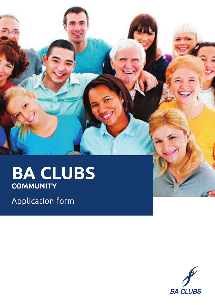# **ba clubs community**

Application form



**K**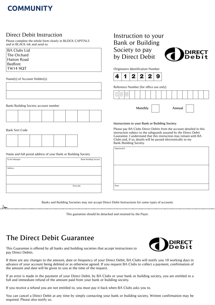### **COMMUNITY**

#### Direct Debit Instruction

Please complete the whole form clearly in BLOCK CAPITALS and in BLACK ink and send to:

| <b>BA Clubs Ltd</b> |
|---------------------|
| The Orchard         |
| <b>Hatton Road</b>  |
| <b>Bedfont</b>      |
| <b>TW14 9QT</b>     |

Name(s) of Account Holder(s):

Bank/Building Society account number



**Bank Sort Code** 

Name and full postal address of your Bank or Building Society

| To the Manager: | Bank/Building Society |
|-----------------|-----------------------|
|                 |                       |
| Address:        |                       |
|                 |                       |
|                 |                       |
|                 | Postcode:             |
|                 |                       |

### Instruction to your **Bank or Building** Society to pay by Direct Debit



Originators Identification Number



Reference Number (for office use only)



Instructions to your Bank or Building Society

Please pay BA Clubs Direct Debits from the account detailed in this instruction subject to the safeguards assured by the Direct Debit Guarantee. I understand that this instruction may remain with BA Clubs and, if so, details will be passed electronically to my Bank/Building Society.

| . |  |
|---|--|

 $\overline{a}$ 

| signature(s): |
|---------------|
|               |
|               |
|               |
|               |
|               |
|               |
|               |
|               |
| Date:         |
|               |

Banks and Building Societies may not accept Direct Debit Instructions for some types of accounts

This guarantee should be detached and retained by the Payer.

## **The Direct Debit Guarantee**



This Guarantee is offered by all banks and building societies that accept instructions to pay Direct Debits.

If there are any changes to the amount, date or frequency of your Direct Debit, BA Clubs will notify you 10 working days in advance of your account being debited or as otherwise agreed. If you request BA Clubs to collect a payment, confirmation of the amount and date will be given to you at the time of the request.

If an error is made in the payment of your Direct Debit, by BA Clubs or your bank or building society, you are entitled to a full and immediate refund of the amount paid from your bank or building society.

If you receive a refund you are not entitled to, you must pay it back when BA Clubs asks you to

You can cancel a Direct Debit at any time by simply contacting your bank or building society. Written confirmation may be required. Please also notify us.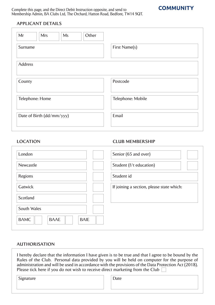Complete this page, and the Direct Debit Instruction opposite, and send to Membership Admin, BA Clubs Ltd, The Orchard, Hatton Road, Bedfont, TW14 9QT.



#### **APPlicAnt dEtAilS**

| Mr<br>Other<br><b>Mrs</b><br>Ms |                   |
|---------------------------------|-------------------|
| Surname                         | First Name(s)     |
| <b>Address</b>                  |                   |
| County                          | Postcode          |
| Telephone: Home                 | Telephone: Mobile |
| Date of Birth (dd/mm/yyy)       | Email             |

#### **locAtion clUB MEMBERSHiP**

| London                                    | Senior (65 and over)                      |
|-------------------------------------------|-------------------------------------------|
| Newcastle                                 | Student (f/t education)                   |
| Regions                                   | Student id                                |
| Gatwick                                   | If joining a section, please state which: |
| Scotland                                  |                                           |
| South Wales                               |                                           |
| <b>BAMC</b><br><b>BAAE</b><br><b>BAIE</b> |                                           |

#### **AUtHoRiSAtion**

I hereby declare that the information I have given is to be true and that I agree to be bound by the Rules of the Club. Personal data provided by you will be held on computer for the purpose of administration and will be used in accordance with the provisions of the Data Protection Act (2018). Please tick here if you do not wish to receive direct marketing from the Club  $\Box$ 

Signature

| ۰,<br>.<br>۰.<br>÷ |
|--------------------|
|--------------------|